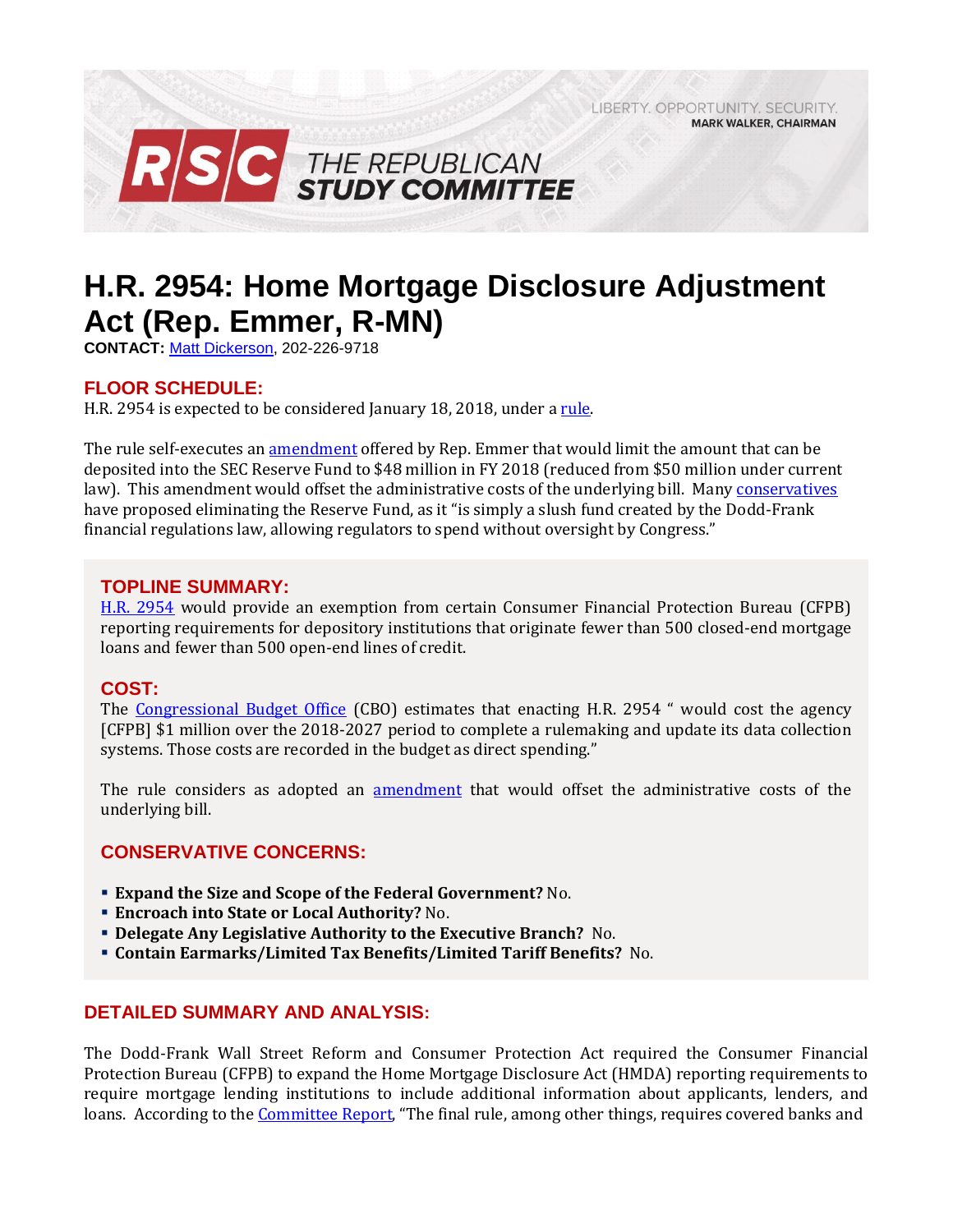LIBERTY, OPPORTUNITY, SECURITY, **MARK WALKER, CHAIRMAN** 



# **H.R. 2954: Home Mortgage Disclosure Adjustment Act (Rep. Emmer, R-MN)**

**CONTACT:** [Matt Dickerson,](mailto:Matthew.Dickerson@mail.house.gov) 202-226-9718

## **FLOOR SCHEDULE:**

H.R. 2954 is expected to be considered January 18, 2018, under a rule.

The rule self-executes an [amendment](https://amendments-rules.house.gov/amendments/EMMER%20Amendment_043_xml116180915471547.pdf) offered by Rep. Emmer that would limit the amount that can be deposited into the SEC Reserve Fund to \$48 million in FY 2018 (reduced from \$50 million under current law). This amendment would offset the administrative costs of the underlying bill. Man[y conservatives](http://rsc.walker.house.gov/files/Initiatives/SecuringAmericasFutureEconomyRSCFY2018Budget.pdf#page=140) have proposed eliminating the Reserve Fund, as it "is simply a slush fund created by the Dodd-Frank financial regulations law, allowing regulators to spend without oversight by Congress."

## **TOPLINE SUMMARY:**

[H.R. 2954](https://www.gpo.gov/fdsys/pkg/BILLS-115hr2954rh/pdf/BILLS-115hr2954rh.pdf) would provide an exemption from certain Consumer Financial Protection Bureau (CFPB) reporting requirements for depository institutions that originate fewer than 500 closed-end mortgage loans and fewer than 500 open-end lines of credit.

## **COST:**

The [Congressional Budget Office](https://www.cbo.gov/system/files/115th-congress-2017-2018/costestimate/hr2954.pdf) (CBO) estimates that enacting H.R. 2954 " would cost the agency [CFPB] \$1 million over the 2018-2027 period to complete a rulemaking and update its data collection systems. Those costs are recorded in the budget as direct spending."

The rule considers as adopted an **[amendment](https://amendments-rules.house.gov/amendments/EMMER%20Amendment_043_xml116180915471547.pdf)** that would offset the administrative costs of the underlying bill.

## **CONSERVATIVE CONCERNS:**

- **Expand the Size and Scope of the Federal Government?** No.
- **Encroach into State or Local Authority?** No.
- **Delegate Any Legislative Authority to the Executive Branch?** No.
- **Contain Earmarks/Limited Tax Benefits/Limited Tariff Benefits?** No.

## **DETAILED SUMMARY AND ANALYSIS:**

The Dodd-Frank Wall Street Reform and Consumer Protection Act required the Consumer Financial Protection Bureau (CFPB) to expand the Home Mortgage Disclosure Act (HMDA) reporting requirements to require mortgage lending institutions to include additional information about applicants, lenders, and loans. According to the **Committee Report**, "The final rule, among other things, requires covered banks and